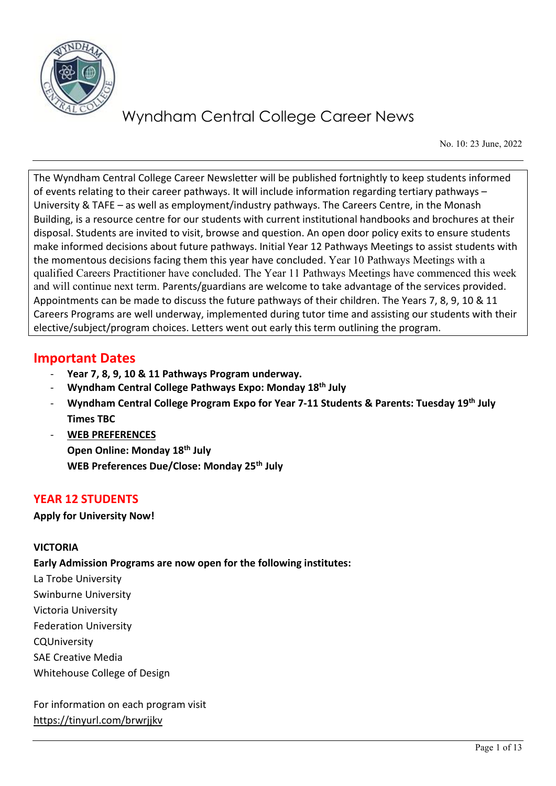

No. 10: 23 June, 2022

The Wyndham Central College Career Newsletter will be published fortnightly to keep students informed of events relating to their career pathways. It will include information regarding tertiary pathways – University & TAFE – as well as employment/industry pathways. The Careers Centre, in the Monash Building, is a resource centre for our students with current institutional handbooks and brochures at their disposal. Students are invited to visit, browse and question. An open door policy exits to ensure students make informed decisions about future pathways. Initial Year 12 Pathways Meetings to assist students with the momentous decisions facing them this year have concluded. Year 10 Pathways Meetings with a qualified Careers Practitioner have concluded. The Year 11 Pathways Meetings have commenced this week and will continue next term. Parents/guardians are welcome to take advantage of the services provided. Appointments can be made to discuss the future pathways of their children. The Years 7, 8, 9, 10 & 11 Careers Programs are well underway, implemented during tutor time and assisting our students with their elective/subject/program choices. Letters went out early this term outlining the program.

# **Important Dates**

- **Year 7, 8, 9, 10 & 11 Pathways Program underway.**
- **Wyndham Central College Pathways Expo: Monday 18th July**
- **Wyndham Central College Program Expo for Year 7-11 Students & Parents: Tuesday 19th July Times TBC**
- **WEB PREFERENCES**

**Open Online: Monday 18th July WEB Preferences Due/Close: Monday 25th July**

# **YEAR 12 STUDENTS**

**Apply for University Now!**

## **VICTORIA**

## **Early Admission Programs are now open for the following institutes:**

La Trobe University

- Swinburne University
- Victoria University

Federation University

CQUniversity

SAE Creative Media

Whitehouse College of Design

For information on each program visit <https://tinyurl.com/brwrjjkv>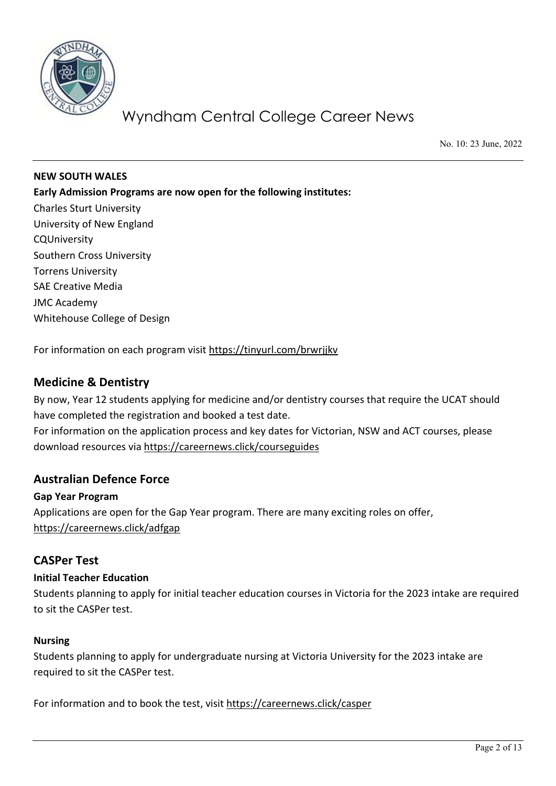

No. 10: 23 June, 2022

**NEW SOUTH WALES Early Admission Programs are now open for the following institutes:** Charles Sturt University University of New England CQUniversity Southern Cross University Torrens University SAE Creative Media JMC Academy Whitehouse College of Design

For information on each program visit<https://tinyurl.com/brwrjjkv>

### **Medicine & Dentistry**

By now, Year 12 students applying for medicine and/or dentistry courses that require the UCAT should have completed the registration and booked a test date. For information on the application process and key dates for Victorian, NSW and ACT courses, please

download resources via<https://careernews.click/courseguides>

#### **Australian Defence Force**

**Gap Year Program** Applications are open for the Gap Year program. There are many exciting roles on offer, <https://careernews.click/adfgap>

#### **CASPer Test**

#### **Initial Teacher Education**

Students planning to apply for initial teacher education courses in Victoria for the 2023 intake are required to sit the CASPer test.

#### **Nursing**

Students planning to apply for undergraduate nursing at Victoria University for the 2023 intake are required to sit the CASPer test.

For information and to book the test, visit<https://careernews.click/casper>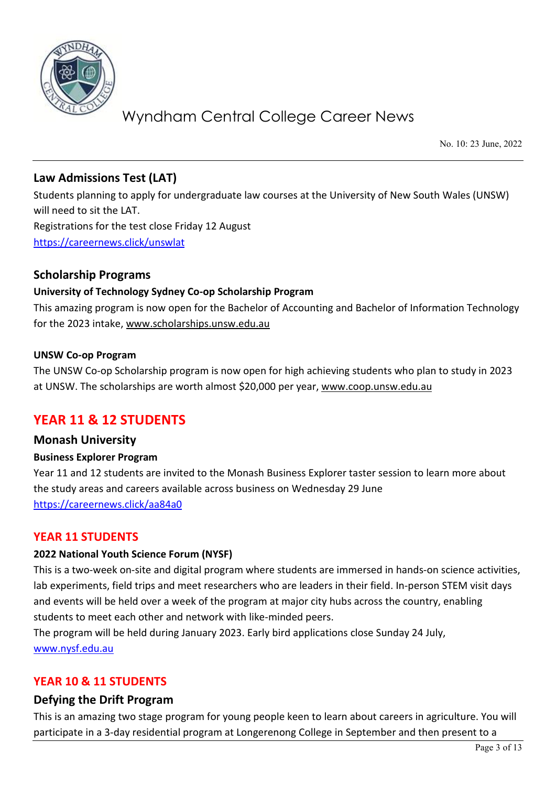

No. 10: 23 June, 2022

# **Law Admissions Test (LAT)**

Students planning to apply for undergraduate law courses at the University of New South Wales (UNSW) will need to sit the LAT. Registrations for the test close Friday 12 August <https://careernews.click/unswlat>

# **Scholarship Programs**

### **University of Technology Sydney Co-op Scholarship Program**

This amazing program is now open for the Bachelor of Accounting and Bachelor of Information Technology for the 2023 intake, [www.scholarships.unsw.edu.au](http://www.scholarships.unsw.edu.au/) 

### **UNSW Co-op Program**

The UNSW Co-op Scholarship program is now open for high achieving students who plan to study in 2023 at UNSW. The scholarships are worth almost \$20,000 per year, [www.coop.unsw.edu.au](http://www.coop.unsw.edu.au/)

# **YEAR 11 & 12 STUDENTS**

## **Monash University**

#### **Business Explorer Program**

Year 11 and 12 students are invited to the Monash Business Explorer taster session to learn more about the study areas and careers available across business on Wednesday 29 June <https://careernews.click/aa84a0>

#### **YEAR 11 STUDENTS**

### **2022 National Youth Science Forum (NYSF)**

This is a two-week on-site and digital program where students are immersed in hands-on science activities, lab experiments, field trips and meet researchers who are leaders in their field. In-person STEM visit days and events will be held over a week of the program at major city hubs across the country, enabling students to meet each other and network with like-minded peers.

The program will be held during January 2023. Early bird applications close Sunday 24 July, [www.nysf.edu.au](http://www.nysf.edu.au/) 

## **YEAR 10 & 11 STUDENTS**

#### **Defying the Drift Program**

This is an amazing two stage program for young people keen to learn about careers in agriculture. You will participate in a 3-day residential program at Longerenong College in September and then present to a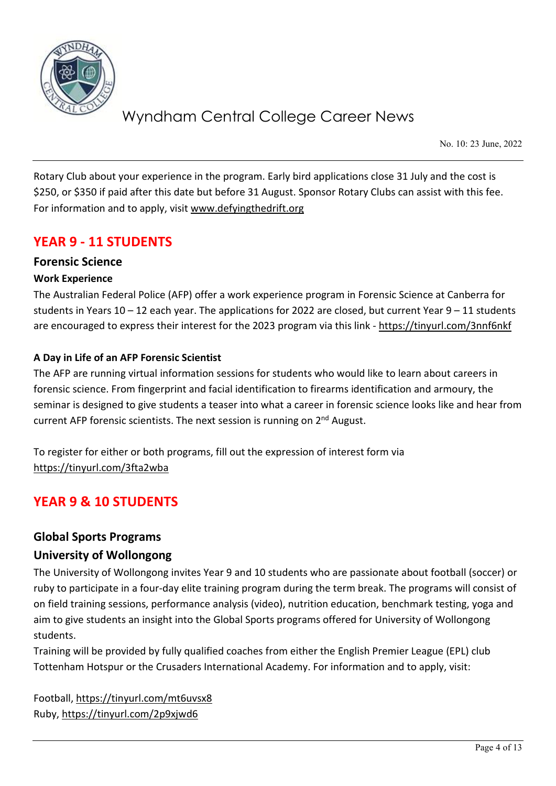

No. 10: 23 June, 2022

Rotary Club about your experience in the program. Early bird applications close 31 July and the cost is \$250, or \$350 if paid after this date but before 31 August. Sponsor Rotary Clubs can assist with this fee. For information and to apply, visit [www.defyingthedrift.org](http://www.defyingthedrift.org/) 

# **YEAR 9 - 11 STUDENTS**

## **Forensic Science**

#### **Work Experience**

The Australian Federal Police (AFP) offer a work experience program in Forensic Science at Canberra for students in Years  $10 - 12$  each year. The applications for 2022 are closed, but current Year  $9 - 11$  students are encouraged to express their interest for the 2023 program via this link -<https://tinyurl.com/3nnf6nkf>

#### **A Day in Life of an AFP Forensic Scientist**

The AFP are running virtual information sessions for students who would like to learn about careers in forensic science. From fingerprint and facial identification to firearms identification and armoury, the seminar is designed to give students a teaser into what a career in forensic science looks like and hear from current AFP forensic scientists. The next session is running on  $2<sup>nd</sup>$  August.

To register for either or both programs, fill out the expression of interest form via <https://tinyurl.com/3fta2wba>

# **YEAR 9 & 10 STUDENTS**

## **Global Sports Programs**

## **University of Wollongong**

The University of Wollongong invites Year 9 and 10 students who are passionate about football (soccer) or ruby to participate in a four-day elite training program during the term break. The programs will consist of on field training sessions, performance analysis (video), nutrition education, benchmark testing, yoga and aim to give students an insight into the Global Sports programs offered for University of Wollongong students.

Training will be provided by fully qualified coaches from either the English Premier League (EPL) club Tottenham Hotspur or the Crusaders International Academy. For information and to apply, visit:

Football,<https://tinyurl.com/mt6uvsx8> Ruby,<https://tinyurl.com/2p9xjwd6>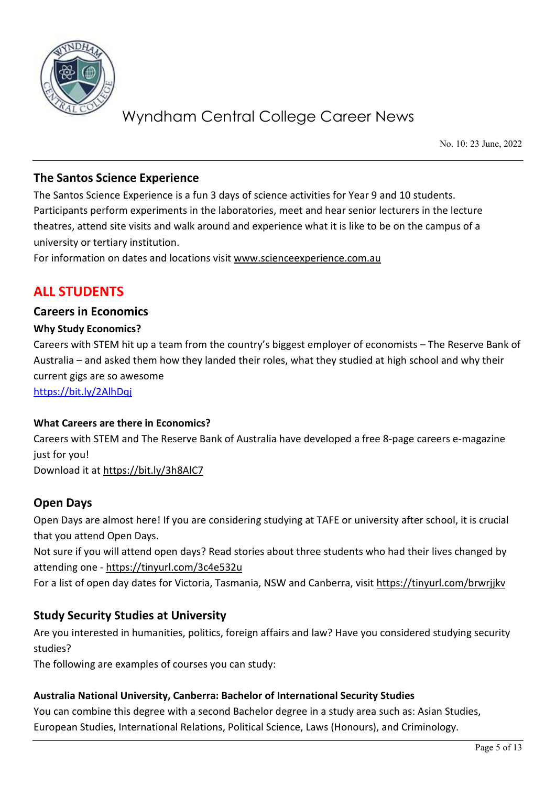

No. 10: 23 June, 2022

# **The Santos Science Experience**

The Santos Science Experience is a fun 3 days of science activities for Year 9 and 10 students. Participants perform experiments in the laboratories, meet and hear senior lecturers in the lecture theatres, attend site visits and walk around and experience what it is like to be on the campus of a university or tertiary institution.

For information on dates and locations visit www.scienceexperience.com.au

# **ALL STUDENTS**

### **Careers in Economics**

#### **Why Study Economics?**

Careers with STEM hit up a team from the country's biggest employer of economists – The Reserve Bank of Australia – and asked them how they landed their roles, what they studied at high school and why their current gigs are so awesome

<https://bit.ly/2AlhDqj>

#### **What Careers are there in Economics?**

Careers with STEM and The Reserve Bank of Australia have developed a free 8-page careers e-magazine just for you!

Download it at <https://bit.ly/3h8AlC7>

## **Open Days**

Open Days are almost here! If you are considering studying at TAFE or university after school, it is crucial that you attend Open Days.

Not sure if you will attend open days? Read stories about three students who had their lives changed by attending one -<https://tinyurl.com/3c4e532u>

For a list of open day dates for Victoria, Tasmania, NSW and Canberra, visit<https://tinyurl.com/brwrjjkv>

## **Study Security Studies at University**

Are you interested in humanities, politics, foreign affairs and law? Have you considered studying security studies?

The following are examples of courses you can study:

#### **Australia National University, Canberra: Bachelor of International Security Studies**

You can combine this degree with a second Bachelor degree in a study area such as: Asian Studies, European Studies, International Relations, Political Science, Laws (Honours), and Criminology.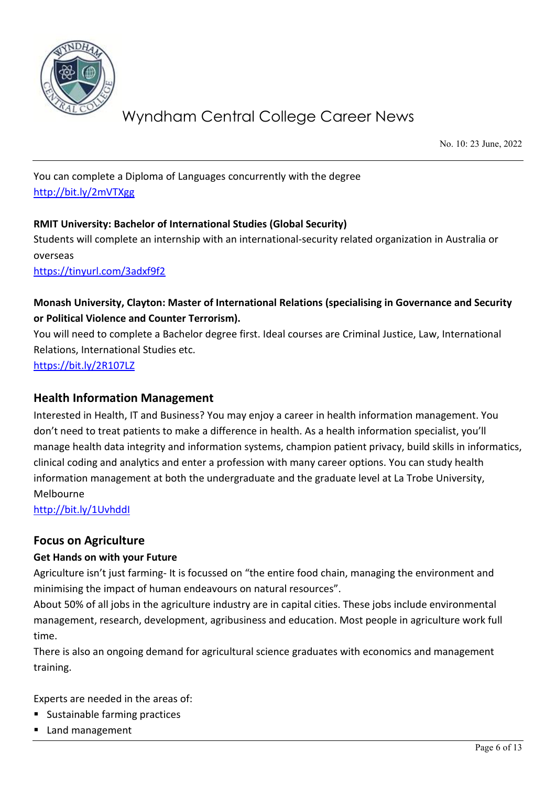

No. 10: 23 June, 2022

You can complete a Diploma of Languages concurrently with the degree <http://bit.ly/2mVTXgg>

### **RMIT University: Bachelor of International Studies (Global Security)**

Students will complete an internship with an international-security related organization in Australia or overseas

<https://tinyurl.com/3adxf9f2>

# **Monash University, Clayton: Master of International Relations (specialising in Governance and Security or Political Violence and Counter Terrorism).**

You will need to complete a Bachelor degree first. Ideal courses are Criminal Justice, Law, International Relations, International Studies etc.

<https://bit.ly/2R107LZ>

### **Health Information Management**

Interested in Health, IT and Business? You may enjoy a career in health information management. You don't need to treat patients to make a difference in health. As a health information specialist, you'll manage health data integrity and information systems, champion patient privacy, build skills in informatics, clinical coding and analytics and enter a profession with many career options. You can study health information management at both the undergraduate and the graduate level at La Trobe University, Melbourne

<http://bit.ly/1UvhddI>

## **Focus on Agriculture**

#### **Get Hands on with your Future**

Agriculture isn't just farming- It is focussed on "the entire food chain, managing the environment and minimising the impact of human endeavours on natural resources".

About 50% of all jobs in the agriculture industry are in capital cities. These jobs include environmental management, research, development, agribusiness and education. Most people in agriculture work full time.

There is also an ongoing demand for agricultural science graduates with economics and management training.

Experts are needed in the areas of:

- Sustainable farming practices
- Land management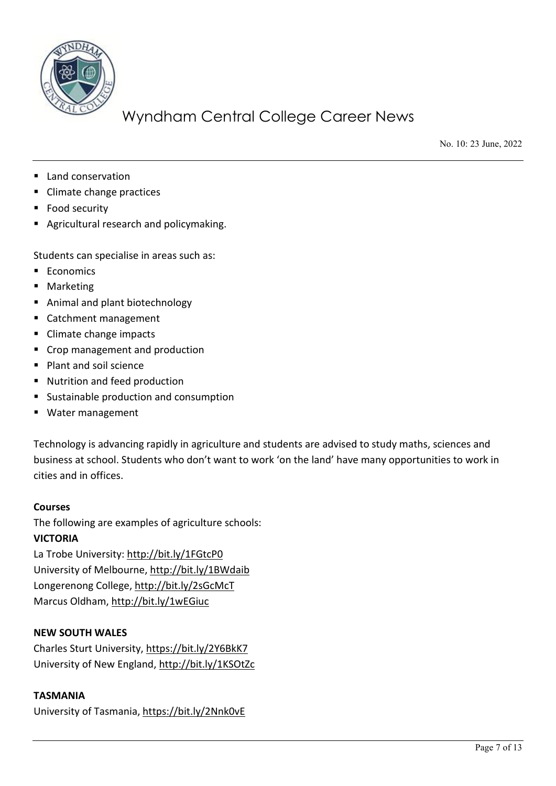

No. 10: 23 June, 2022

- Land conservation
- Climate change practices
- Food security
- **Agricultural research and policymaking.**

Students can specialise in areas such as:

- **Economics**
- **Marketing**
- Animal and plant biotechnology
- Catchment management
- Climate change impacts
- Crop management and production
- **Plant and soil science**
- Nutrition and feed production
- **Sustainable production and consumption**
- Water management

Technology is advancing rapidly in agriculture and students are advised to study maths, sciences and business at school. Students who don't want to work 'on the land' have many opportunities to work in cities and in offices.

#### **Courses**

The following are examples of agriculture schools:

#### **VICTORIA**

La Trobe University:<http://bit.ly/1FGtcP0> University of Melbourne[, http://bit.ly/1BWdaib](http://bit.ly/1BWdaib) Longerenong College, http://bit.ly/2sGcMcT Marcus Oldham,<http://bit.ly/1wEGiuc>

## **NEW SOUTH WALES**

Charles Sturt University,<https://bit.ly/2Y6BkK7> University of New England,<http://bit.ly/1KSOtZc>

#### **TASMANIA**

University of Tasmania,<https://bit.ly/2Nnk0vE>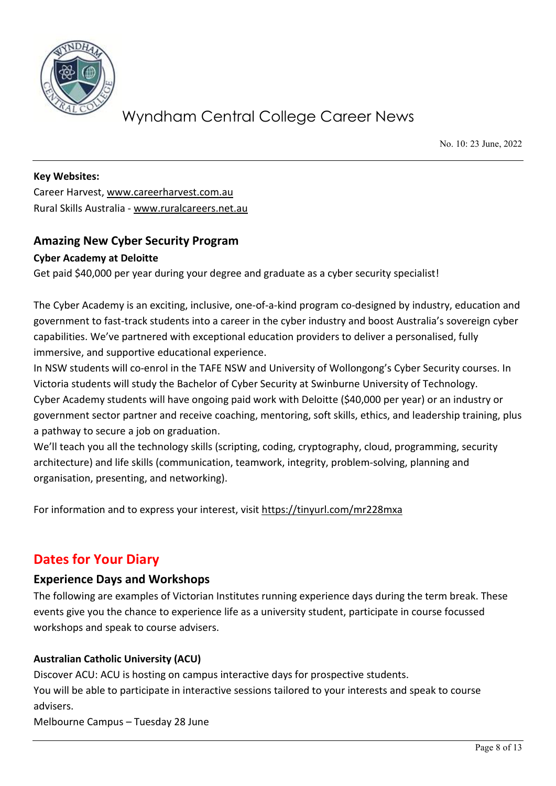

No. 10: 23 June, 2022

**Key Websites:**  Career Harvest, [www.careerharvest.com.au](http://www.careerharvest.com.au/)  Rural Skills Australia - [www.ruralcareers.net.au](http://www.ruralcareers.net.au/)

# **Amazing New Cyber Security Program**

#### **Cyber Academy at Deloitte**

Get paid \$40,000 per year during your degree and graduate as a cyber security specialist!

The Cyber Academy is an exciting, inclusive, one-of-a-kind program co-designed by industry, education and government to fast-track students into a career in the cyber industry and boost Australia's sovereign cyber capabilities. We've partnered with exceptional education providers to deliver a personalised, fully immersive, and supportive educational experience.

In NSW students will co-enrol in the TAFE NSW and University of Wollongong's Cyber Security courses. In Victoria students will study the Bachelor of Cyber Security at Swinburne University of Technology.

Cyber Academy students will have ongoing paid work with Deloitte (\$40,000 per year) or an industry or government sector partner and receive coaching, mentoring, soft skills, ethics, and leadership training, plus a pathway to secure a job on graduation.

We'll teach you all the technology skills (scripting, coding, cryptography, cloud, programming, security architecture) and life skills (communication, teamwork, integrity, problem-solving, planning and organisation, presenting, and networking).

For information and to express your interest, visit<https://tinyurl.com/mr228mxa>

# **Dates for Your Diary**

#### **Experience Days and Workshops**

The following are examples of Victorian Institutes running experience days during the term break. These events give you the chance to experience life as a university student, participate in course focussed workshops and speak to course advisers.

#### **Australian Catholic University (ACU)**

Discover ACU: ACU is hosting on campus interactive days for prospective students. You will be able to participate in interactive sessions tailored to your interests and speak to course advisers.

Melbourne Campus – Tuesday 28 June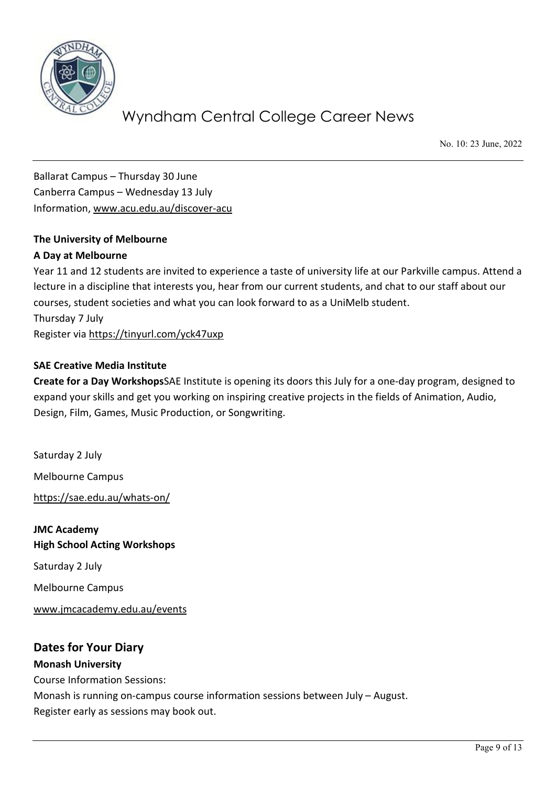

No. 10: 23 June, 2022

Ballarat Campus – Thursday 30 June Canberra Campus – Wednesday 13 July Information, [www.acu.edu.au/discover-acu](http://www.acu.edu.au/discover-acu)

# **The University of Melbourne**

#### **A Day at Melbourne**

Year 11 and 12 students are invited to experience a taste of university life at our Parkville campus. Attend a lecture in a discipline that interests you, hear from our current students, and chat to our staff about our courses, student societies and what you can look forward to as a UniMelb student. Thursday 7 July Register via<https://tinyurl.com/yck47uxp>

#### **SAE Creative Media Institute**

**Create for a Day Workshops**SAE Institute is opening its doors this July for a one-day program, designed to expand your skills and get you working on inspiring creative projects in the fields of Animation, Audio, Design, Film, Games, Music Production, or Songwriting.

Saturday 2 July Melbourne Campus <https://sae.edu.au/whats-on/> **JMC Academy**

**High School Acting Workshops** Saturday 2 July Melbourne Campus [www.jmcacademy.edu.au/events](http://www.jmcacademy.edu.au/events)

### **Dates for Your Diary Monash University**

Course Information Sessions: Monash is running on-campus course information sessions between July – August. Register early as sessions may book out.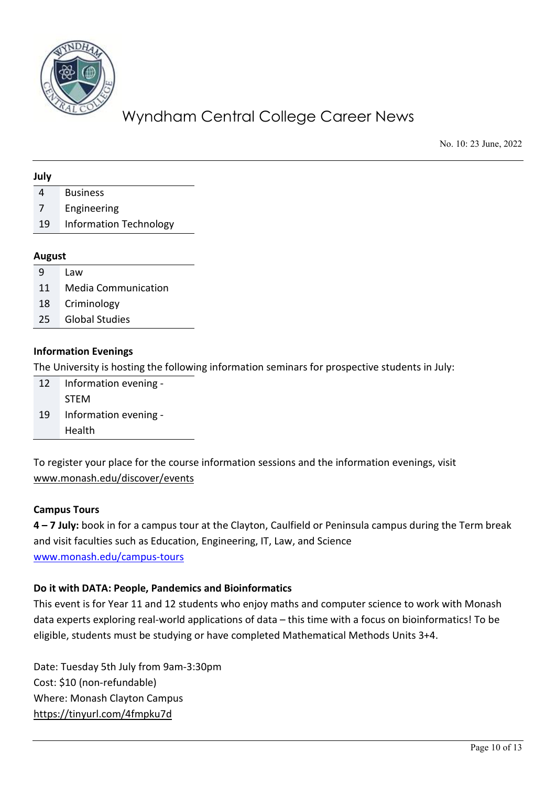

No. 10: 23 June, 2022

#### **July**

4 Business

- 7 Engineering
- 19 Information Technology

#### **August**

- 9 Law
- 11 Media Communication
- 18 Criminology
- 25 Global Studies

#### **Information Evenings**

The University is hosting the following information seminars for prospective students in July:

| 12 | Information evening - |
|----|-----------------------|
|    | <b>STEM</b>           |
| 19 | Information evening - |
|    | Health                |

To register your place for the course information sessions and the information evenings, visit [www.monash.edu/discover/events](http://www.monash.edu/discover/events)

#### **Campus Tours**

**4 – 7 July:** book in for a campus tour at the Clayton, Caulfield or Peninsula campus during the Term break and visit faculties such as Education, Engineering, IT, Law, and Science [www.monash.edu/campus-tours](http://www.monash.edu/campus-tours) 

#### **Do it with DATA: People, Pandemics and Bioinformatics**

This event is for Year 11 and 12 students who enjoy maths and computer science to work with Monash data experts exploring real-world applications of data – this time with a focus on bioinformatics! To be eligible, students must be studying or have completed Mathematical Methods Units 3+4.

Date: Tuesday 5th July from 9am-3:30pm Cost: \$10 (non-refundable) Where: Monash Clayton Campus <https://tinyurl.com/4fmpku7d>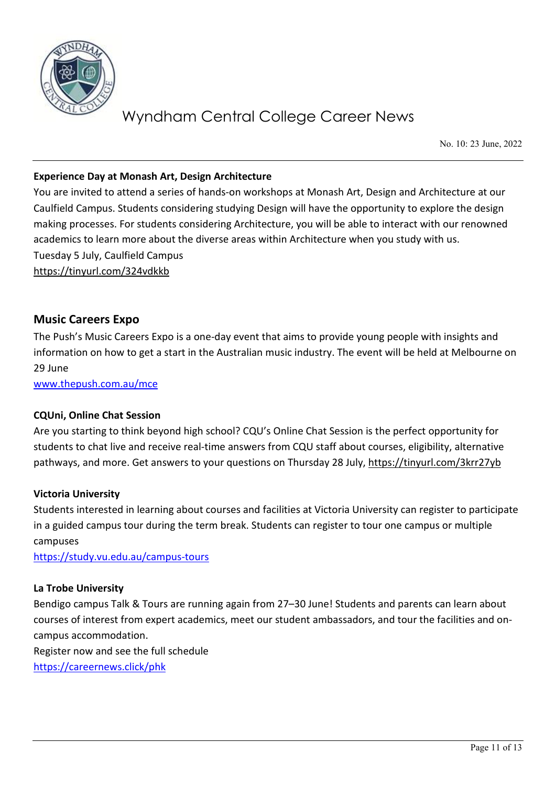

No. 10: 23 June, 2022

#### **Experience Day at Monash Art, Design Architecture**

You are invited to attend a series of hands-on workshops at Monash Art, Design and Architecture at our Caulfield Campus. Students considering studying Design will have the opportunity to explore the design making processes. For students considering Architecture, you will be able to interact with our renowned academics to learn more about the diverse areas within Architecture when you study with us. Tuesday 5 July, Caulfield Campus <https://tinyurl.com/324vdkkb>

### **Music Careers Expo**

The Push's Music Careers Expo is a one-day event that aims to provide young people with insights and information on how to get a start in the Australian music industry. The event will be held at Melbourne on 29 June

[www.thepush.com.au/mce](http://www.thepush.com.au/mce) 

#### **CQUni, Online Chat Session**

Are you starting to think beyond high school? CQU's Online Chat Session is the perfect opportunity for students to chat live and receive real-time answers from CQU staff about courses, eligibility, alternative pathways, and more. Get answers to your questions on Thursday 28 July,<https://tinyurl.com/3krr27yb>

#### **Victoria University**

Students interested in learning about courses and facilities at Victoria University can register to participate in a guided campus tour during the term break. Students can register to tour one campus or multiple campuses

<https://study.vu.edu.au/campus-tours>

#### **La Trobe University**

Bendigo campus Talk & Tours are running again from 27–30 June! Students and parents can learn about courses of interest from expert academics, meet our student ambassadors, and tour the facilities and oncampus accommodation.

Register now and see the full schedule <https://careernews.click/phk>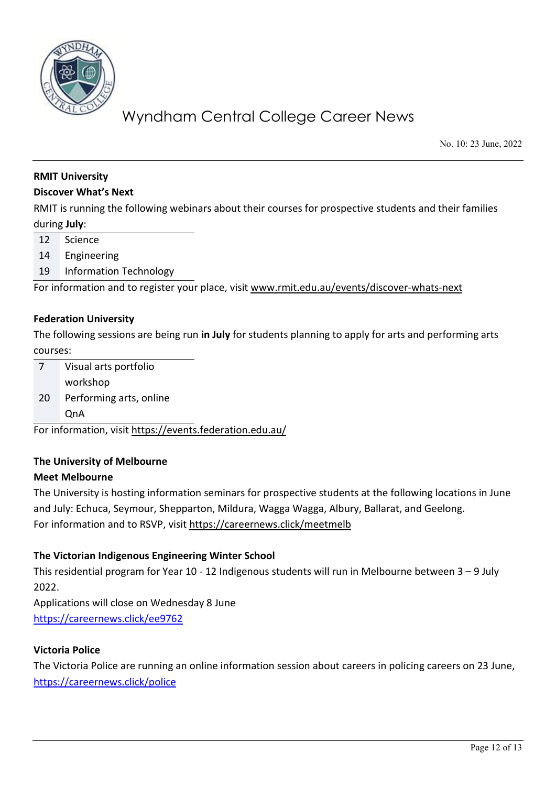

No. 10: 23 June, 2022

#### **RMIT University**

#### **Discover What's Next**

RMIT is running the following webinars about their courses for prospective students and their families during **July**:

- 12 Science
- 14 Engineering
- 19 Information Technology

For information and to register your place, visit [www.rmit.edu.au/events/discover-whats-next](http://www.rmit.edu.au/events/discover-whats-next) 

#### **Federation University**

The following sessions are being run **in July** for students planning to apply for arts and performing arts courses:

7 Visual arts portfolio workshop 20 Performing arts, online QnA

For information, visit<https://events.federation.edu.au/>

#### **The University of Melbourne**

#### **Meet Melbourne**

The University is hosting information seminars for prospective students at the following locations in June and July: Echuca, Seymour, Shepparton, Mildura, Wagga Wagga, Albury, Ballarat, and Geelong. For information and to RSVP, visit <https://careernews.click/meetmelb>

#### **The Victorian Indigenous Engineering Winter School**

This residential program for Year 10 - 12 Indigenous students will run in Melbourne between 3 – 9 July 2022.

Applications will close on Wednesday 8 June <https://careernews.click/ee9762>

#### **Victoria Police**

The Victoria Police are running an online information session about careers in policing careers on 23 June, <https://careernews.click/police>